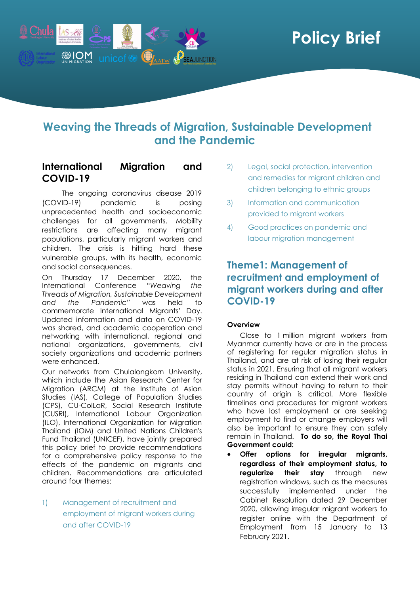

# **Weaving the Threads of Migration, Sustainable Development and the Pandemic**

### **International Migration and COVID-19**

The ongoing coronavirus disease 2019 (COVID-19) pandemic is posing unprecedented health and socioeconomic challenges for all governments. Mobility restrictions are affecting many migrant populations, particularly migrant workers and children. The crisis is hitting hard these vulnerable groups, with its health, economic and social consequences.

On Thursday 17 December 2020, the International Conference "*Weaving the Threads of Migration, Sustainable Development and the Pandemic"* was held to commemorate International Migrants' Day. Updated information and data on COVID-19 was shared, and academic cooperation and networking with international, regional and national organizations, governments, civil society organizations and academic partners were enhanced.

Our networks from Chulalongkorn University, which include the Asian Research Center for Migration (ARCM) at the Institute of Asian Studies (IAS), College of Population Studies (CPS), CU-ColLaR, Social Research Institute (CUSRI), International Labour Organization (ILO), International Organization for Migration Thailand (IOM) and United Nations Children's Fund Thailand (UNICEF), have jointly prepared this policy brief to provide recommendations for a comprehensive policy response to the effects of the pandemic on migrants and children. Recommendations are articulated around four themes:

1) Management of recruitment and employment of migrant workers during and after COVID-19

- 2) Legal, social protection, intervention and remedies for migrant children and children belonging to ethnic groups
- 3) Information and communication provided to migrant workers
- 4) Good practices on pandemic and labour migration management

## **Theme1: Management of recruitment and employment of migrant workers during and after COVID-19**

### **Overview**

Close to 1 million migrant workers from Myanmar currently have or are in the process of registering for regular migration status in Thailand, and are at risk of losing their regular status in 2021. Ensuring that all migrant workers residing in Thailand can extend their work and stay permits without having to return to their country of origin is critical. More flexible timelines and procedures for migrant workers who have lost employment or are seeking employment to find or change employers will also be important to ensure they can safely remain in Thailand. **To do so, the Royal Thai Government could:**

• **Offer options for irregular migrants, regardless of their employment status, to regularize their stay** through new registration windows, such as the measures successfully implemented under the Cabinet Resolution dated 29 December 2020, allowing irregular migrant workers to register online with the Department of Employment from 15 January to 13 February 2021.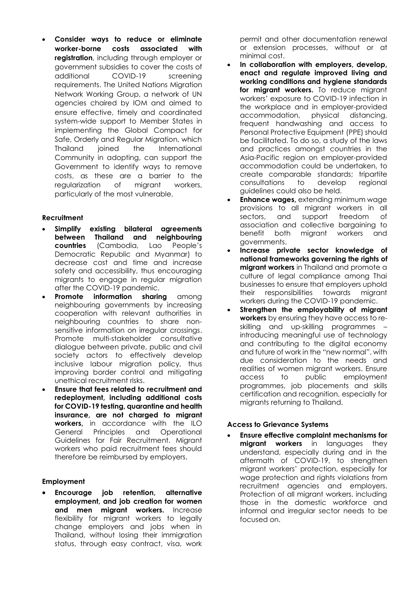• **Consider ways to reduce or eliminate worker-borne costs associated with registration**, including through employer or government subsidies to cover the costs of additional COVID-19 screening requirements. The United Nations Migration Network Working Group, a network of UN agencies chaired by IOM and aimed to ensure effective, timely and coordinated system-wide support to Member States in implementing the Global Compact for Safe, Orderly and Regular Migration, which Thailand joined the International Community in adopting, can support the Government to identify ways to remove costs, as these are a barrier to the regularization of migrant workers, particularly of the most vulnerable.

#### **Recruitment**

- **Simplify existing bilateral agreements between Thailand and neighbouring countries** (Cambodia, Lao People's Democratic Republic and Myanmar) to decrease cost and time and increase safety and accessibility, thus encouraging migrants to engage in regular migration after the COVID-19 pandemic.
- **Promote information sharing** among neighbouring governments by increasing cooperation with relevant authorities in neighbouring countries to share nonsensitive information on irregular crossings. Promote multi-stakeholder consultative dialogue between private, public and civil society actors to effectively develop inclusive labour migration policy, thus improving border control and mitigating unethical recruitment risks.
- **Ensure that fees related to recruitment and redeployment, including additional costs for COVID-19 testing, quarantine and health insurance, are not charged to migrant workers,** in accordance with the ILO General Principles and Operational Guidelines for Fair Recruitment. Migrant workers who paid recruitment fees should therefore be reimbursed by employers.

#### **Employment**

• **Encourage job retention, alternative employment, and job creation for women and men migrant workers.** Increase flexibility for migrant workers to legally change employers and jobs when in Thailand, without losing their immigration status, through easy contract, visa, work

permit and other documentation renewal or extension processes, without or at minimal cost.

- **In collaboration with employers, develop, enact and regulate improved living and working conditions and hygiene standards** for migrant workers. To reduce migrant workers' exposure to COVID-19 infection in the workplace and in employer-provided accommodation, physical distancing, frequent handwashing and access to Personal Protective Equipment (PPE) should be facilitated. To do so, a study of the laws and practices amongst countries in the Asia-Pacific region on employer-provided accommodation could be undertaken, to create comparable standards; tripartite consultations to develop regional guidelines could also be held.
- **Enhance wages, extending minimum wage** provisions to all migrant workers in all sectors, and support freedom of association and collective bargaining to benefit both migrant workers and governments.
- **Increase private sector knowledge of national frameworks governing the rights of migrant workers** in Thailand and promote a culture of legal compliance among Thai businesses to ensure that employers uphold their responsibilities towards migrant workers during the COVID-19 pandemic.
- **Strengthen the employability of migrant workers** by ensuring they have access to reskilling and up-skilling programmes – introducing meaningful use of technology and contributing to the digital economy and future of work in the "new normal", with due consideration to the needs and realities of women migrant workers. Ensure access to public employment programmes, job placements and skills certification and recognition, especially for migrants returning to Thailand.

### **Access to Grievance Systems**

• **Ensure effective complaint mechanisms for migrant workers** in languages they understand, especially during and in the aftermath of COVID-19, to strengthen migrant workers' protection, especially for wage protection and rights violations from recruitment agencies and employers. Protection of all migrant workers, including those in the domestic workforce and informal and irregular sector needs to be focused on.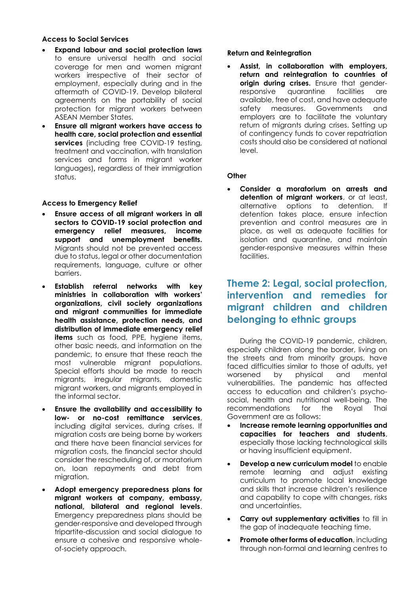#### **Access to Social Services**

- **Expand labour and social protection laws** to ensure universal health and social coverage for men and women migrant workers irrespective of their sector of employment, especially during and in the aftermath of COVID-19. Develop bilateral agreements on the portability of social protection for migrant workers between ASEAN Member States.
- **Ensure all migrant workers have access to health care, social protection and essential services** (including free COVID-19 testing, treatment and vaccination, with translation services and forms in migrant worker languages)**,** regardless of their immigration status.

#### **Access to Emergency Relief**

- **Ensure access of all migrant workers in all sectors to COVID-19 social protection and emergency relief measures, income support and unemployment benefits.** Migrants should not be prevented access due to status, legal or other documentation requirements, language, culture or other barriers.
- **Establish referral networks with key ministries in collaboration with workers' organizations, civil society organizations and migrant communities for immediate health assistance, protection needs, and distribution of immediate emergency relief items** such as food, PPE, hygiene items, other basic needs, and information on the pandemic, to ensure that these reach the most vulnerable migrant populations. Special efforts should be made to reach migrants, irregular migrants, domestic migrant workers, and migrants employed in the informal sector.
- **Ensure the availability and accessibility to low- or no-cost remittance services**, including digital services, during crises. If migration costs are being borne by workers and there have been financial services for migration costs, the financial sector should consider the rescheduling of, or moratorium on, loan repayments and debt from migration.
- **Adopt emergency preparedness plans for migrant workers at company, embassy, national, bilateral and regional levels**. Emergency preparedness plans should be gender-responsive and developed through tripartite-discussion and social dialogue to ensure a cohesive and responsive wholeof-society approach.

#### **Return and Reintegration**

• **Assist, in collaboration with employers, return and reintegration to countries of origin during crises.** Ensure that genderresponsive quarantine facilities are available, free of cost, and have adequate safety measures. Governments and employers are to facilitate the voluntary return of migrants during crises. Setting up of contingency funds to cover repatriation costs should also be considered at national level.

#### **Other**

• **Consider a moratorium on arrests and detention of migrant workers**, or at least, alternative options to detention. If detention takes place, ensure infection prevention and control measures are in place, as well as adequate facilities for isolation and quarantine, and maintain gender-responsive measures within these facilities.

# **Theme 2: Legal, social protection, intervention and remedies for migrant children and children belonging to ethnic groups**

During the COVID-19 pandemic, children, especially children along the border, living on the streets and from minority groups, have faced difficulties similar to those of adults, yet worsened by physical and mental vulnerabilities. The pandemic has affected access to education and children's psychosocial, health and nutritional well-being. The recommendations for the Royal Thai Government are as follows:

- **Increase remote learning opportunities and capacities for teachers and students**, especially those lacking technological skills or having insufficient equipment.
- **Develop a new curriculum model** to enable remote learning and adjust existing curriculum to promote local knowledge and skills that increase children's resilience and capability to cope with changes, risks and uncertainties.
- **Carry out supplementary activities** to fill in the gap of inadequate teaching time.
- **Promote other forms of education**, including through non-formal and learning centres to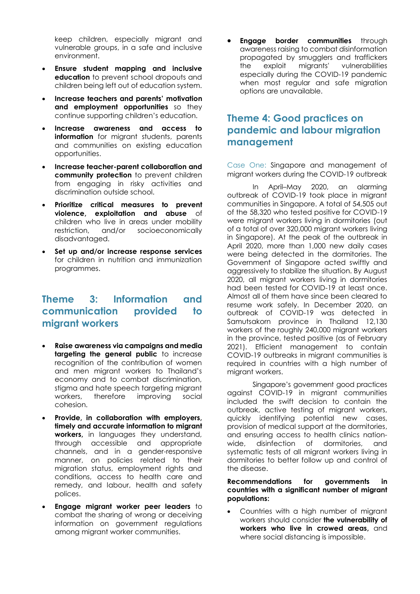keep children, especially migrant and vulnerable groups, in a safe and inclusive environment.

- **Ensure student mapping and inclusive education** to prevent school dropouts and children being left out of education system.
- **Increase teachers and parents' motivation and employment opportunities** so they continue supporting children's education.
- **Increase awareness and access to information** for migrant students, parents and communities on existing education opportunities.
- **Increase teacher-parent collaboration and community protection** to prevent children from engaging in risky activities and discrimination outside school.
- **Prioritize critical measures to prevent violence, exploitation and abuse** of children who live in areas under mobility restriction, and/or socioeconomically disadvantaged.
- **Set up and/or increase response services** for children in nutrition and immunization programmes.

### **Theme 3: Information and communication provided to migrant workers**

- **Raise awareness via campaigns and media targeting the general public** to increase recognition of the contribution of women and men migrant workers to Thailand's economy and to combat discrimination, stigma and hate speech targeting migrant workers, therefore improving social cohesion.
- **Provide, in collaboration with employers, timely and accurate information to migrant workers,** in languages they understand, through accessible and appropriate channels, and in a gender-responsive manner, on policies related to their migration status, employment rights and conditions, access to health care and remedy, and labour, health and safety polices.
- **Engage migrant worker peer leaders** to combat the sharing of wrong or deceiving information on government regulations among migrant worker communities.

**Engage border communities** through awareness raising to combat disinformation propagated by smugglers and traffickers the exploit migrants' vulnerabilities especially during the COVID-19 pandemic when most regular and safe migration options are unavailable.

### **Theme 4: Good practices on pandemic and labour migration management**

Case One: Singapore and management of migrant workers during the COVID-19 outbreak

In April–May 2020, an alarming outbreak of COVID-19 took place in migrant communities in Singapore. A total of 54,505 out of the 58,320 who tested positive for COVID-19 were migrant workers living in dormitories (out of a total of over 320,000 migrant workers living in Singapore). At the peak of the outbreak in April 2020, more than 1,000 new daily cases were being detected in the dormitories. The Government of Singapore acted swiftly and aggressively to stabilize the situation. By August 2020, all migrant workers living in dormitories had been tested for COVID-19 at least once. Almost all of them have since been cleared to resume work safely. In December 2020, an outbreak of COVID-19 was detected in Samutsakorn province in Thailand 12,130 workers of the roughly 240,000 migrant workers in the province, tested positive (as of February 2021). Efficient management to contain COVID-19 outbreaks in migrant communities is required in countries with a high number of migrant workers.

Singapore's government good practices against COVID-19 in migrant communities included the swift decision to contain the outbreak, active testing of migrant workers, quickly identifying potential new cases, provision of medical support at the dormitories, and ensuring access to health clinics nationwide, disinfection of dormitories, and systematic tests of all migrant workers living in dormitories to better follow up and control of the disease.

#### **Recommendations for governments in countries with a significant number of migrant populations:**

• Countries with a high number of migrant workers should consider **the vulnerability of workers who live in crowed areas,** and where social distancing is impossible.